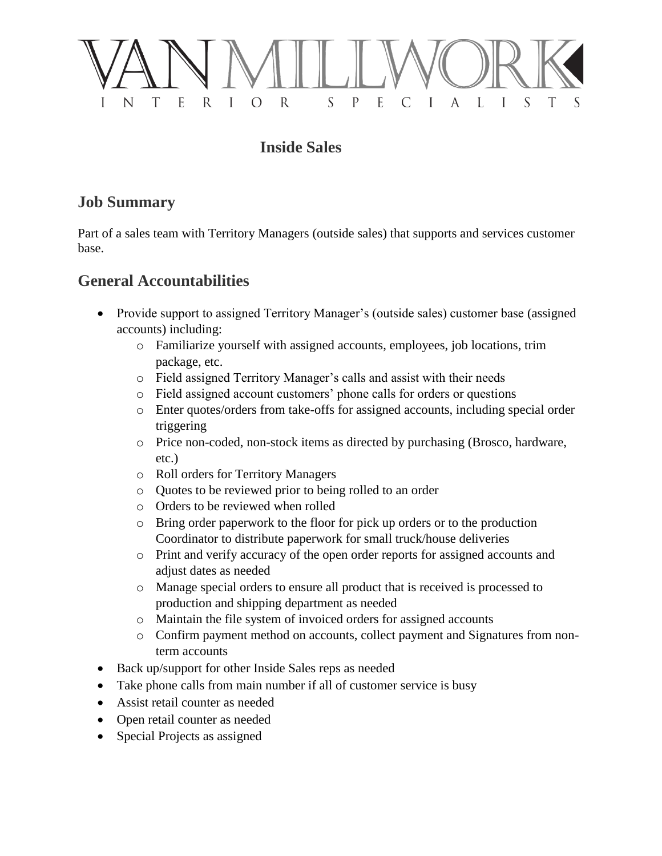

# **Inside Sales**

## **Job Summary**

Part of a sales team with Territory Managers (outside sales) that supports and services customer base.

# **General Accountabilities**

- Provide support to assigned Territory Manager's (outside sales) customer base (assigned accounts) including:
	- o Familiarize yourself with assigned accounts, employees, job locations, trim package, etc.
	- o Field assigned Territory Manager's calls and assist with their needs
	- o Field assigned account customers' phone calls for orders or questions
	- o Enter quotes/orders from take-offs for assigned accounts, including special order triggering
	- o Price non-coded, non-stock items as directed by purchasing (Brosco, hardware, etc.)
	- o Roll orders for Territory Managers
	- o Quotes to be reviewed prior to being rolled to an order
	- o Orders to be reviewed when rolled
	- o Bring order paperwork to the floor for pick up orders or to the production Coordinator to distribute paperwork for small truck/house deliveries
	- o Print and verify accuracy of the open order reports for assigned accounts and adjust dates as needed
	- o Manage special orders to ensure all product that is received is processed to production and shipping department as needed
	- o Maintain the file system of invoiced orders for assigned accounts
	- o Confirm payment method on accounts, collect payment and Signatures from nonterm accounts
- Back up/support for other Inside Sales reps as needed
- Take phone calls from main number if all of customer service is busy
- Assist retail counter as needed
- Open retail counter as needed
- Special Projects as assigned